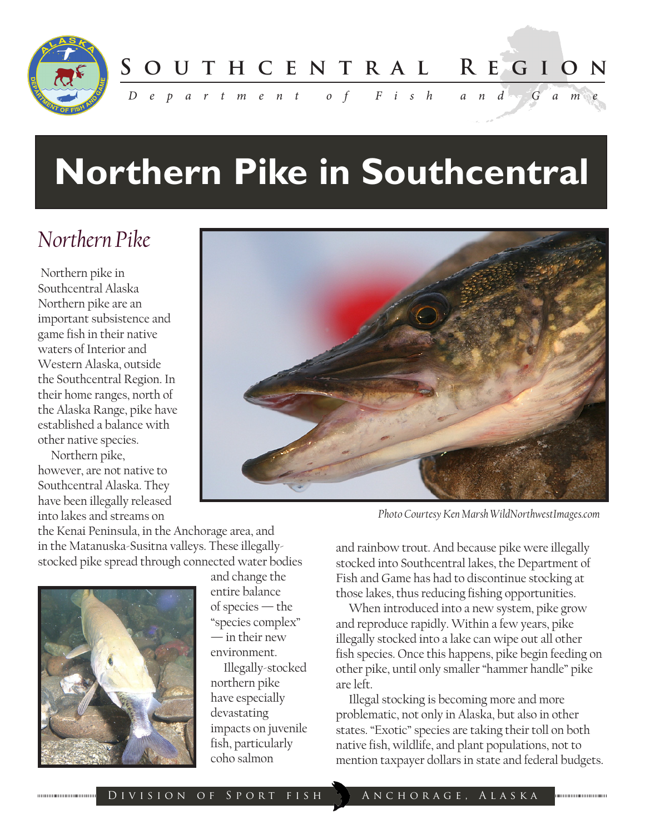

**S o u t h c e n t r a l R e g i o n**

*D e p a r t m e n t o f F i s h a n d G a m e*

# **Northern Pike in Southcentral**

### *Northern Pike*

 Northern pike in Southcentral Alaska Northern pike are an important subsistence and game fish in their native waters of Interior and Western Alaska, outside the Southcentral Region. In their home ranges, north of the Alaska Range, pike have established a balance with other native species.

 Northern pike, however, are not native to Southcentral Alaska. They have been illegally released into lakes and streams on

the Kenai Peninsula, in the Anchorage area, and in the Matanuska-Susitna valleys. These illegallystocked pike spread through connected water bodies



and change the entire balance of species — the "species complex" — in their new environment.

 Illegally-stocked northern pike have especially devastating impacts on juvenile fish, particularly coho salmon



*Photo Courtesy Ken Marsh WildNorthwestImages.com*

and rainbow trout. And because pike were illegally stocked into Southcentral lakes, the Department of Fish and Game has had to discontinue stocking at those lakes, thus reducing fishing opportunities.

 When introduced into a new system, pike grow and reproduce rapidly. Within a few years, pike illegally stocked into a lake can wipe out all other fish species. Once this happens, pike begin feeding on other pike, until only smaller "hammer handle" pike are left.

 Illegal stocking is becoming more and more problematic, not only in Alaska, but also in other states. "Exotic" species are taking their toll on both native fish, wildlife, and plant populations, not to mention taxpayer dollars in state and federal budgets.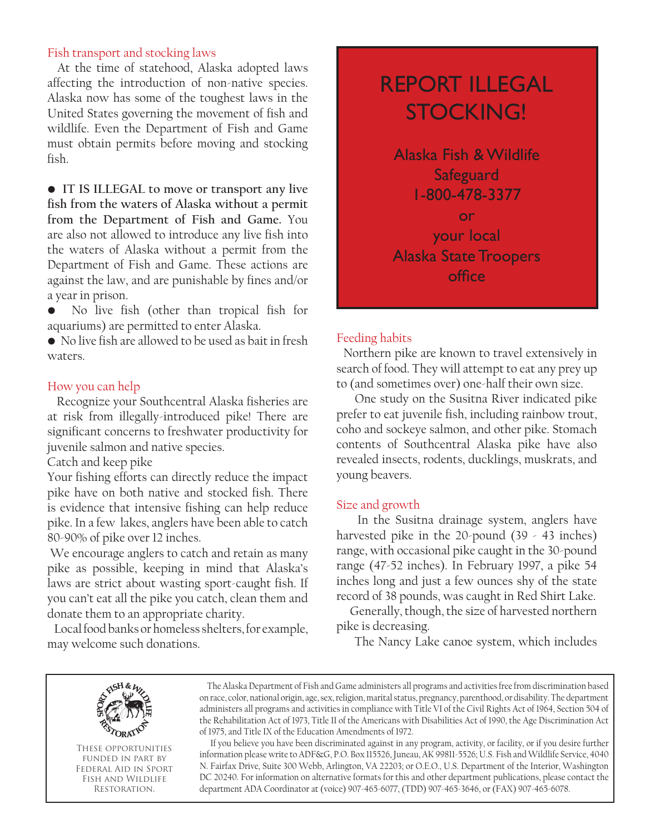#### Fish transport and stocking laws

 At the time of statehood, Alaska adopted laws affecting the introduction of non-native species. Alaska now has some of the toughest laws in the United States governing the movement of fish and wildlife. Even the Department of Fish and Game must obtain permits before moving and stocking fish.

• **IT IS ILLEGAL to move or transport any live fish from the waters of Alaska without a permit from the Department of Fish and Game.** You are also not allowed to introduce any live fish into the waters of Alaska without a permit from the Department of Fish and Game. These actions are against the law, and are punishable by fines and/or a year in prison.

• No live fish (other than tropical fish for aquariums) are permitted to enter Alaska.

• No live fish are allowed to be used as bait in fresh waters.

#### How you can help

 Recognize your Southcentral Alaska fisheries are at risk from illegally-introduced pike! There are significant concerns to freshwater productivity for juvenile salmon and native species.

Catch and keep pike

Your fishing efforts can directly reduce the impact pike have on both native and stocked fish. There is evidence that intensive fishing can help reduce pike. In a few lakes, anglers have been able to catch 80-90% of pike over 12 inches.

 We encourage anglers to catch and retain as many pike as possible, keeping in mind that Alaska's laws are strict about wasting sport-caught fish. If you can't eat all the pike you catch, clean them and donate them to an appropriate charity.

 Local food banks or homeless shelters, for example, may welcome such donations.

### REPORT ILLEGAL STOCKING!

Alaska Fish & Wildlife **Safeguard** 1-800-478-3377 or your local Alaska State Troopers office

#### Feeding habits

 Northern pike are known to travel extensively in search of food. They will attempt to eat any prey up to (and sometimes over) one-half their own size.

 One study on the Susitna River indicated pike prefer to eat juvenile fish, including rainbow trout, coho and sockeye salmon, and other pike. Stomach contents of Southcentral Alaska pike have also revealed insects, rodents, ducklings, muskrats, and young beavers.

#### Size and growth

 In the Susitna drainage system, anglers have harvested pike in the 20-pound (39 - 43 inches) range, with occasional pike caught in the 30-pound range (47-52 inches). In February 1997, a pike 54 inches long and just a few ounces shy of the state record of 38 pounds, was caught in Red Shirt Lake.

 Generally, though, the size of harvested northern pike is decreasing.

The Nancy Lake canoe system, which includes



These opportunities funded in part by Federal Aid in Sport Fish and Wildlife Restoration.

 The Alaska Department of Fish and Game administers all programs and activities free from discrimination based on race, color, national origin, age, sex, religion, marital status, pregnancy, parenthood, or disability. The department administers all programs and activities in compliance with Title VI of the Civil Rights Act of 1964, Section 504 of the Rehabilitation Act of 1973, Title II of the Americans with Disabilities Act of 1990, the Age Discrimination Act of 1975, and Title IX of the Education Amendments of 1972.

 If you believe you have been discriminated against in any program, activity, or facility, or if you desire further information please write to ADF&G, P.O. Box 115526, Juneau, AK 99811-5526; U.S. Fish and Wildlife Service, 4040 N. Fairfax Drive, Suite 300 Webb, Arlington, VA 22203; or O.E.O., U.S. Department of the Interior, Washington DC 20240. For information on alternative formats for this and other department publications, please contact the department ADA Coordinator at (voice) 907-465-6077, (TDD) 907-465-3646, or (FAX) 907-465-6078.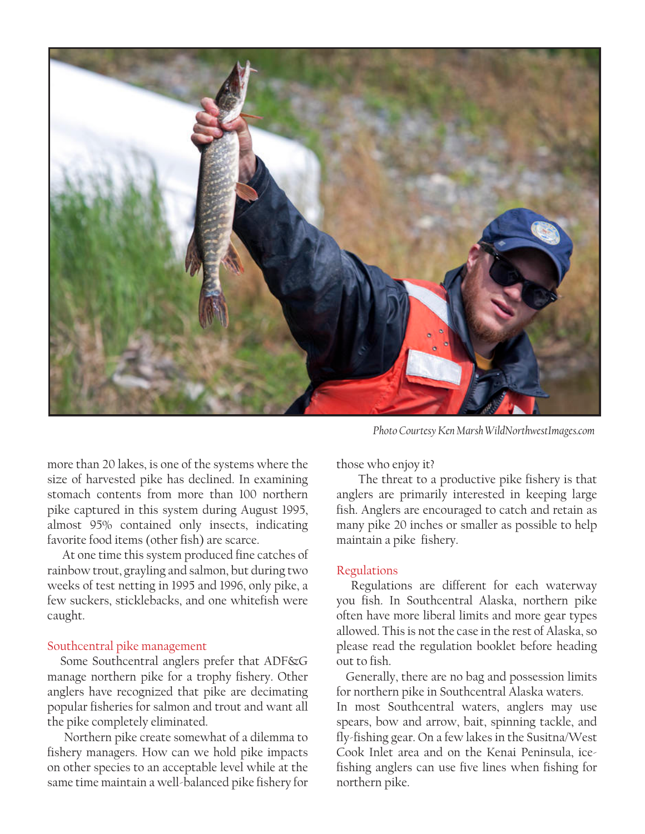

more than 20 lakes, is one of the systems where the size of harvested pike has declined. In examining stomach contents from more than 100 northern pike captured in this system during August 1995, almost 95% contained only insects, indicating favorite food items (other fish) are scarce.

 At one time this system produced fine catches of rainbow trout, grayling and salmon, but during two weeks of test netting in 1995 and 1996, only pike, a few suckers, sticklebacks, and one whitefish were caught.

#### Southcentral pike management

 Some Southcentral anglers prefer that ADF&G manage northern pike for a trophy fishery. Other anglers have recognized that pike are decimating popular fisheries for salmon and trout and want all the pike completely eliminated.

 Northern pike create somewhat of a dilemma to fishery managers. How can we hold pike impacts on other species to an acceptable level while at the same time maintain a well-balanced pike fishery for

*Photo Courtesy Ken Marsh WildNorthwestImages.com*

those who enjoy it?

 The threat to a productive pike fishery is that anglers are primarily interested in keeping large fish. Anglers are encouraged to catch and retain as many pike 20 inches or smaller as possible to help maintain a pike fishery.

#### Regulations

 Regulations are different for each waterway you fish. In Southcentral Alaska, northern pike often have more liberal limits and more gear types allowed. This is not the case in the rest of Alaska, so please read the regulation booklet before heading out to fish.

 Generally, there are no bag and possession limits for northern pike in Southcentral Alaska waters. In most Southcentral waters, anglers may use spears, bow and arrow, bait, spinning tackle, and fly-fishing gear. On a few lakes in the Susitna/West Cook Inlet area and on the Kenai Peninsula, icefishing anglers can use five lines when fishing for northern pike.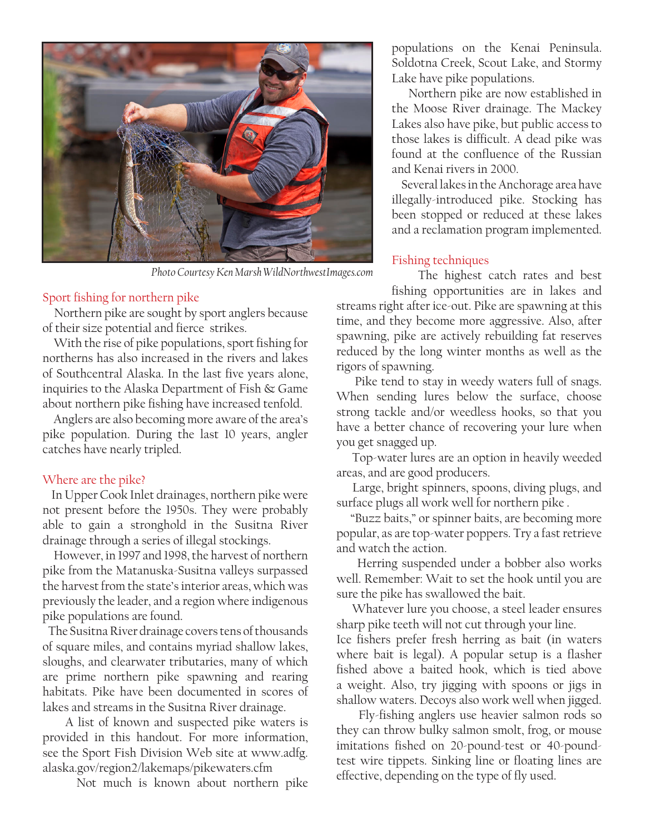

*Photo Courtesy Ken Marsh WildNorthwestImages.com*

#### Sport fishing for northern pike

 Northern pike are sought by sport anglers because of their size potential and fierce strikes.

 With the rise of pike populations, sport fishing for northerns has also increased in the rivers and lakes of Southcentral Alaska. In the last five years alone, inquiries to the Alaska Department of Fish & Game about northern pike fishing have increased tenfold.

 Anglers are also becoming more aware of the area's pike population. During the last 10 years, angler catches have nearly tripled.

#### Where are the pike?

 In Upper Cook Inlet drainages, northern pike were not present before the 1950s. They were probably able to gain a stronghold in the Susitna River drainage through a series of illegal stockings.

 However, in 1997 and 1998, the harvest of northern pike from the Matanuska-Susitna valleys surpassed the harvest from the state's interior areas, which was previously the leader, and a region where indigenous pike populations are found.

 The Susitna River drainage covers tens of thousands of square miles, and contains myriad shallow lakes, sloughs, and clearwater tributaries, many of which are prime northern pike spawning and rearing habitats. Pike have been documented in scores of lakes and streams in the Susitna River drainage.

 A list of known and suspected pike waters is provided in this handout. For more information, see the Sport Fish Division Web site at www.adfg. alaska.gov/region2/lakemaps/pikewaters.cfm

Not much is known about northern pike

populations on the Kenai Peninsula. Soldotna Creek, Scout Lake, and Stormy Lake have pike populations.

 Northern pike are now established in the Moose River drainage. The Mackey Lakes also have pike, but public access to those lakes is difficult. A dead pike was found at the confluence of the Russian and Kenai rivers in 2000.

 Several lakes in the Anchorage area have illegally-introduced pike. Stocking has been stopped or reduced at these lakes and a reclamation program implemented.

#### Fishing techniques

 The highest catch rates and best fishing opportunities are in lakes and

streams right after ice-out. Pike are spawning at this time, and they become more aggressive. Also, after spawning, pike are actively rebuilding fat reserves reduced by the long winter months as well as the rigors of spawning.

 Pike tend to stay in weedy waters full of snags. When sending lures below the surface, choose strong tackle and/or weedless hooks, so that you have a better chance of recovering your lure when you get snagged up.

 Top-water lures are an option in heavily weeded areas, and are good producers.

 Large, bright spinners, spoons, diving plugs, and surface plugs all work well for northern pike .

 "Buzz baits," or spinner baits, are becoming more popular, as are top-water poppers. Try a fast retrieve and watch the action.

 Herring suspended under a bobber also works well. Remember: Wait to set the hook until you are sure the pike has swallowed the bait.

 Whatever lure you choose, a steel leader ensures sharp pike teeth will not cut through your line.

Ice fishers prefer fresh herring as bait (in waters where bait is legal). A popular setup is a flasher fished above a baited hook, which is tied above a weight. Also, try jigging with spoons or jigs in shallow waters. Decoys also work well when jigged.

 Fly-fishing anglers use heavier salmon rods so they can throw bulky salmon smolt, frog, or mouse imitations fished on 20-pound-test or 40-poundtest wire tippets. Sinking line or floating lines are effective, depending on the type of fly used.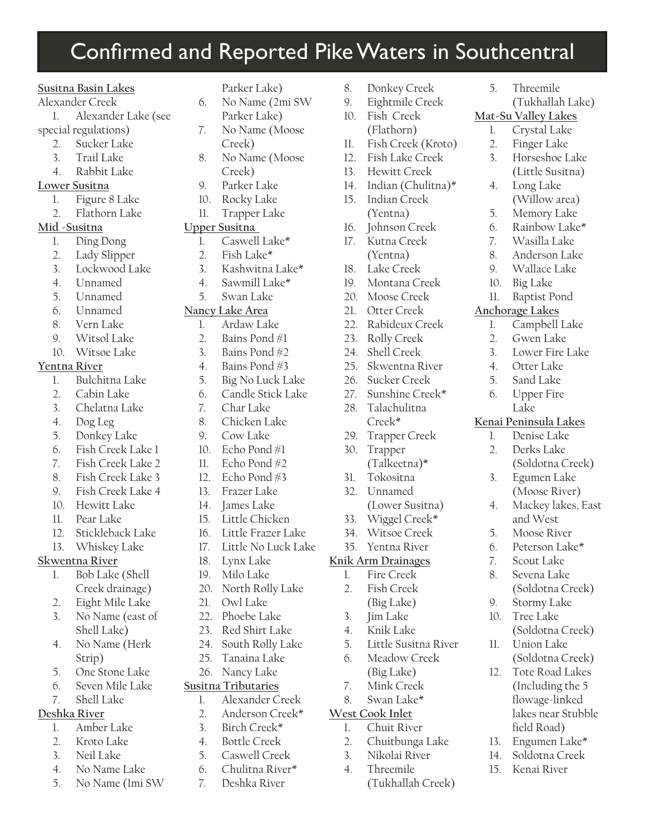### Confirmed and Reported Pike Waters in Southcentral

#### **Susitna Basin Lakes**

- Alexander Creek
- 1. Alexander Lake (see
- special regulations)
	- 2. Sucker Lake
	- 3. Trail Lake
	- 4. Rabbit Lake
- **Lower Susitna**
	- 1. Figure 8 Lake
	- 2. Flathorn Lake

#### **Mid -Susitna**

- 1. Ding Dong
- 2. Lady Slipper
- 3. Lockwood Lake
- 4. Unnamed
- 5. Unnamed
- 6. Unnamed
- 8. Vern Lake
- 9. Witsol Lake
- 10. Witsoe Lake

#### **Yentna River**

- 1. Bulchitna Lake
- 2. Cabin Lake
- 3. Chelatna Lake
- 4. Dog Leg
- 5. Donkey Lake
- 6. Fish Creek Lake 1
- 7. Fish Creek Lake 2
- 8. Fish Creek Lake 3
- 9. Fish Creek Lake 4
- 10. Hewitt Lake
- 11. Pear Lake
- 12. Stickleback Lake
- 13. Whiskey Lake

#### **Skwentna River**

- 1. Bob Lake (Shell Creek drainage)
- 2. Eight Mile Lake
- 3. No Name (east of Shell Lake)
- 4. No Name (Herk Strip)
- 5. One Stone Lake
- 6. Seven Mile Lake
- 7. Shell Lake

#### **Deshka River**

- 1. Amber Lake
- 2. Kroto Lake
- 3. Neil Lake
- 4. No Name Lake
- 5. No Name (1mi SW
- Parker Lake)
- 6. No Name (2mi SW Parker Lake) 7. No Name (Moose
- Creek)
- 8. No Name (Moose Creek)
- 9. Parker Lake
- 10. Rocky Lake
- 11. Trapper Lake

#### **Upper Susitna**

- 1. Caswell Lake\*
- 2. Fish Lake\*
- 3. Kashwitna Lake\*
- 4. Sawmill Lake\*
- 5. Swan Lake

#### **Nancy Lake Area**

- 1. Ardaw Lake
- 2. Bains Pond #1
- 3. Bains Pond #2
- 4. Bains Pond #3
- 5. Big No Luck Lake
- 6. Candle Stick Lake
- 7. Char Lake
- 8. Chicken Lake
- 9. Cow Lake
- 10. Echo Pond #1
- 11. Echo Pond #2
- 12 Echo Pond  $\#3$
- 13. Frazer Lake
- 14. James Lake
- 15. Little Chicken
- 16. Little Frazer Lake
- 17. Little No Luck Lake
- 18. Lynx Lake
- 19. Milo Lake
- 20. North Rolly Lake
- 21. Owl Lake
- 22. Phoebe Lake
- 23. Red Shirt Lake
- 24. South Rolly Lake
- 25. Tanaina Lake 26. Nancy Lake

#### **Susitna Tributaries**

- 1. Alexander Creek
- 2. Anderson Creek\*
- 3. Birch Creek\*
- 
- 4. Bottle Creek 5. Caswell Creek
- 6. Chulitna River\*
- 7. Deshka River

8. Donkey Creek

5. Threemile

**Mat-Su Valley Lakes** 1. Crystal Lake 2. Finger Lake 3. Horseshoe Lake (Little Susitna)

4. Long Lake

(Willow area) 5. Memory Lake 6. Rainbow Lake\* 7. Wasilla Lake 8. Anderson Lake 9. Wallace Lake 10. Big Lake 11. Baptist Pond **Anchorage Lakes**

1. Campbell Lake 2. Gwen Lake 3. Lower Fire Lake 4. Otter Lake 5. Sand Lake 6. Upper Fire Lake **Kenai Peninsula Lakes** 1. Denise Lake 2. Derks Lake

(Soldotna Creek)

(Soldotna Creek)

(Soldotna Creek)

(Soldotna Creek) 12. Tote Road Lakes (Including the 5 flowage-linked lakes near Stubble

9. Stormy Lake 10. Tree Lake

11. Union Lake

field Road) 13. Engumen Lake\* 14. Soldotna Creek 15. Kenai River

3. Egumen Lake (Moose River) 4. Mackey lakes, East and West 5. Moose River 6. Peterson Lake\* 7. Scout Lake 8. Sevena Lake

(Tukhallah Lake)

- 9. Eightmile Creek 10. Fish Creek
- (Flathorn)

13. Hewitt Creek 14. Indian (Chulitna)\* 15. Indian Creek (Yentna) 16. Johnson Creek 17. Kutna Creek (Yentna) 18. Lake Creek 19. Montana Creek 20. Moose Creek 21. Otter Creek 22. Rabideux Creek 23. Rolly Creek 24. Shell Creek 25. Skwentna River 26. Sucker Creek 27. Sunshine Creek\* 28. Talachulitna Creek\* 29. Trapper Creek 30. Trapper

11. Fish Creek (Kroto) 12. Fish Lake Creek

(Talkeetna)\*

(Lower Susitna) 33. Wiggel Creek\* 34. Witsoe Creek 35. Yentna River **Knik Arm Drainages** 1. Fire Creek 2. Fish Creek (Big Lake) 3. Jim Lake 4. Knik Lake

5. Little Susitna River 6. Meadow Creek (Big Lake) 7. Mink Creek 8. Swan Lake\* **West Cook Inlet** 1. Chuit River 2. Chuitbunga Lake 3. Nikolai River 4. Threemile

(Tukhallah Creek)

31. Tokositna 32. Unnamed